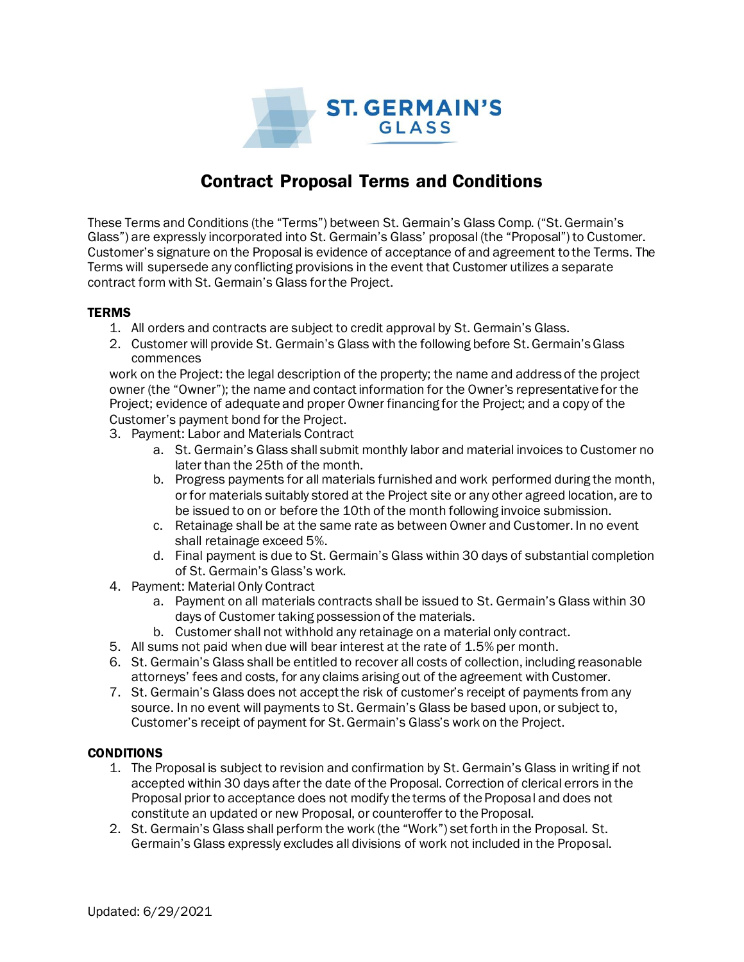

## Contract Proposal Terms and Conditions

These Terms and Conditions (the "Terms") between St. Germain's Glass Comp. ("St. Germain's Glass") are expressly incorporated into St. Germain's Glass' proposal (the "Proposal") to Customer. Customer's signature on the Proposal is evidence of acceptance of and agreement to the Terms. The Terms will supersede any conflicting provisions in the event that Customer utilizes a separate contract form with St. Germain's Glass for the Project.

## **TERMS**

- 1. All orders and contracts are subject to credit approval by St. Germain's Glass.
- 2. Customer will provide St. Germain's Glass with the following before St. Germain'sGlass commences

work on the Project: the legal description of the property; the name and address of the project owner (the "Owner"); the name and contact information for the Owner's representative for the Project; evidence of adequate and proper Owner financing for the Project; and a copy of the Customer's payment bond for the Project.

- 3. Payment: Labor and Materials Contract
	- a. St. Germain's Glass shall submit monthly labor and material invoices to Customer no later than the 25th of the month.
	- b. Progress payments for all materials furnished and work performed during the month, or for materials suitably stored at the Project site or any other agreed location, are to be issued to on or before the 10th of the month following invoice submission.
	- c. Retainage shall be at the same rate as between Owner and Customer. In no event shall retainage exceed 5%.
	- d. Final payment is due to St. Germain's Glass within 30 days of substantial completion of St. Germain's Glass's work.
- 4. Payment: Material Only Contract
	- a. Payment on all materials contracts shall be issued to St. Germain's Glass within 30 days of Customer taking possession of the materials.
	- b. Customer shall not withhold any retainage on a material only contract.
- 5. All sums not paid when due will bear interest at the rate of 1.5% per month.
- 6. St. Germain's Glass shall be entitled to recover all costs of collection, including reasonable attorneys' fees and costs, for any claims arising out of the agreement with Customer.
- 7. St. Germain's Glass does not accept the risk of customer's receipt of payments from any source. In no event will payments to St. Germain's Glass be based upon, or subject to, Customer's receipt of payment for St. Germain's Glass's work on the Project.

## **CONDITIONS**

- 1. The Proposal is subject to revision and confirmation by St. Germain's Glass in writing if not accepted within 30 days after the date of the Proposal. Correction of clerical errors in the Proposal prior to acceptance does not modify the terms of the Proposal and does not constitute an updated or new Proposal, or counteroffer to the Proposal.
- 2. St. Germain's Glass shall perform the work (the "Work") set forth in the Proposal. St. Germain's Glass expressly excludes all divisions of work not included in the Proposal.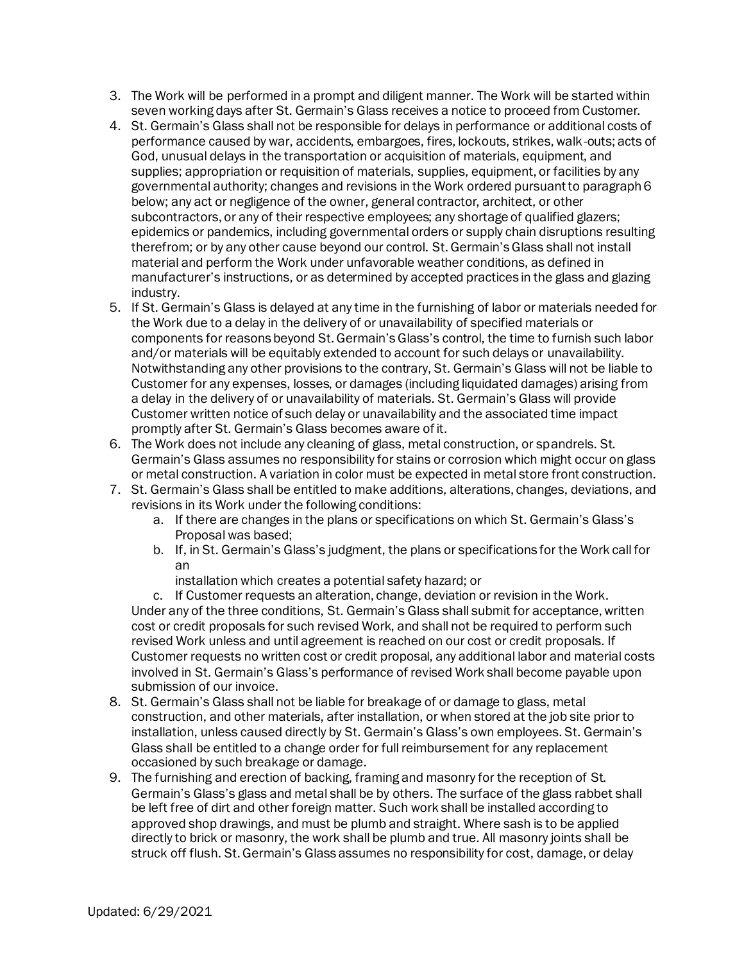- 3. The Work will be performed in a prompt and diligent manner. The Work will be started within seven working days after St. Germain's Glass receives a notice to proceed from Customer.
- 4. St. Germain's Glass shall not be responsible for delays in performance or additional costs of performance caused by war, accidents, embargoes, fires, lockouts, strikes, walk-outs; acts of God, unusual delays in the transportation or acquisition of materials, equipment, and supplies; appropriation or requisition of materials, supplies, equipment, or facilities by any governmental authority; changes and revisions in the Work ordered pursuant to paragraph 6 below; any act or negligence of the owner, general contractor, architect, or other subcontractors, or any of their respective employees; any shortage of qualified glazers; epidemics or pandemics, including governmental orders or supply chain disruptions resulting therefrom; or by any other cause beyond our control. St. Germain'sGlass shall not install material and perform the Work under unfavorable weather conditions, as defined in manufacturer's instructions, or as determined by accepted practices in the glass and glazing industry.
- 5. If St. Germain's Glass is delayed at any time in the furnishing of labor or materials needed for the Work due to a delay in the delivery of or unavailability of specified materials or components for reasons beyond St. Germain'sGlass's control, the time to furnish such labor and/or materials will be equitably extended to account for such delays or unavailability. Notwithstanding any other provisions to the contrary, St. Germain's Glass will not be liable to Customer for any expenses, losses, or damages (including liquidated damages) arising from a delay in the delivery of or unavailability of materials. St. Germain's Glass will provide Customer written notice of such delay or unavailability and the associated time impact promptly after St. Germain's Glass becomes aware of it.
- 6. The Work does not include any cleaning of glass, metal construction, or spandrels. St. Germain's Glass assumes no responsibility for stains or corrosion which might occur on glass or metal construction. A variation in color must be expected in metal store front construction.
- 7. St. Germain's Glass shall be entitled to make additions, alterations, changes, deviations, and revisions in its Work under the following conditions:
	- a. If there are changes in the plans or specifications on which St. Germain's Glass's Proposal was based;
	- b. If, in St. Germain's Glass's judgment, the plans or specifications for the Work call for an
		- installation which creates a potential safety hazard; or

c. If Customer requests an alteration, change, deviation or revision in the Work. Under any of the three conditions, St. Germain's Glass shall submit for acceptance, written cost or credit proposals for such revised Work, and shall not be required to perform such revised Work unless and until agreement is reached on our cost or credit proposals. If Customer requests no written cost or credit proposal, any additional labor and material costs involved in St. Germain's Glass's performance of revised Work shall become payable upon submission of our invoice.

- 8. St. Germain's Glass shall not be liable for breakage of or damage to glass, metal construction, and other materials, after installation, or when stored at the job site prior to installation, unless caused directly by St. Germain's Glass's own employees. St. Germain's Glass shall be entitled to a change order for full reimbursement for any replacement occasioned by such breakage or damage.
- 9. The furnishing and erection of backing, framing and masonry for the reception of St. Germain's Glass's glass and metal shall be by others. The surface of the glass rabbet shall be left free of dirt and other foreign matter. Such work shall be installed according to approved shop drawings, and must be plumb and straight. Where sash is to be applied directly to brick or masonry, the work shall be plumb and true. All masonry joints shall be struck off flush. St. Germain's Glass assumes no responsibility for cost, damage, or delay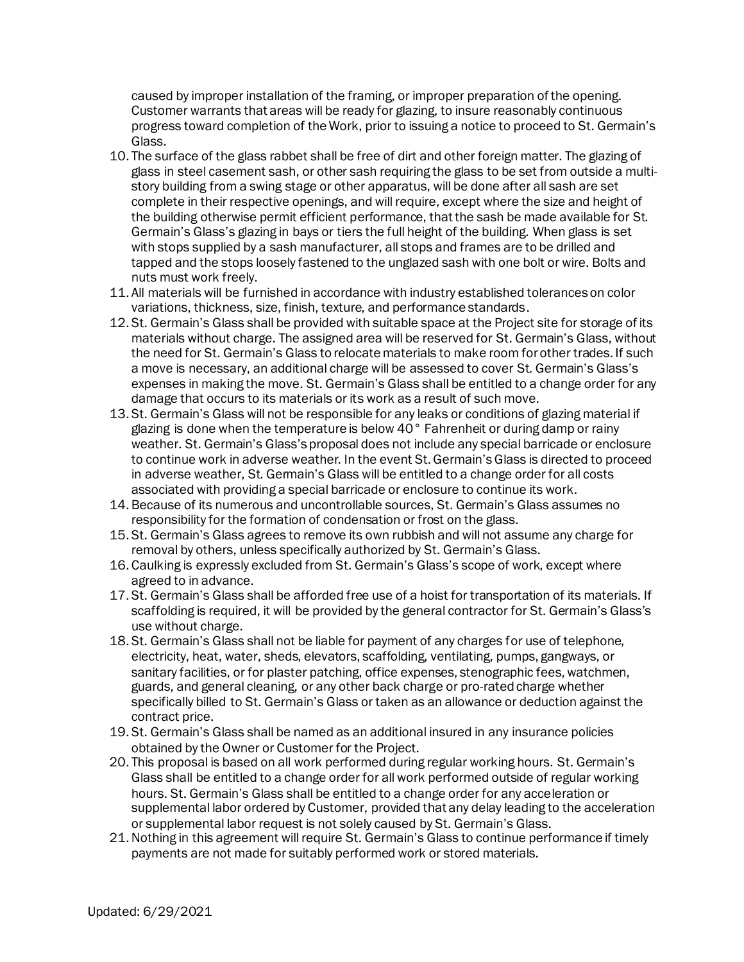caused by improper installation of the framing, or improper preparation of the opening. Customer warrants that areas will be ready for glazing, to insure reasonably continuous progress toward completion of the Work, prior to issuing a notice to proceed to St. Germain's Glass.

- 10. The surface of the glass rabbet shall be free of dirt and other foreign matter. The glazing of glass in steel casement sash, or other sash requiring the glass to be set from outside a multistory building from a swing stage or other apparatus, will be done after all sash are set complete in their respective openings, and will require, except where the size and height of the building otherwise permit efficient performance, that the sash be made available for St. Germain's Glass's glazing in bays or tiers the full height of the building. When glass is set with stops supplied by a sash manufacturer, all stops and frames are to be drilled and tapped and the stops loosely fastened to the unglazed sash with one bolt or wire. Bolts and nuts must work freely.
- 11. All materials will be furnished in accordance with industry established tolerances on color variations, thickness, size, finish, texture, and performance standards.
- 12. St. Germain's Glass shall be provided with suitable space at the Project site for storage of its materials without charge. The assigned area will be reserved for St. Germain's Glass, without the need for St. Germain's Glass to relocate materials to make room for other trades. If such a move is necessary, an additional charge will be assessed to cover St. Germain's Glass's expenses in making the move. St. Germain's Glass shall be entitled to a change order for any damage that occurs to its materials or its work as a result of such move.
- 13. St. Germain's Glass will not be responsible for any leaks or conditions of glazing material if glazing is done when the temperature is below  $40^{\circ}$  Fahrenheit or during damp or rainy weather. St. Germain's Glass's proposal does not include any special barricade or enclosure to continue work in adverse weather. In the event St. Germain'sGlass is directed to proceed in adverse weather, St. Germain's Glass will be entitled to a change order for all costs associated with providing a special barricade or enclosure to continue its work.
- 14.Because of its numerous and uncontrollable sources, St. Germain's Glass assumes no responsibility for the formation of condensation or frost on the glass.
- 15. St. Germain's Glass agrees to remove its own rubbish and will not assume any charge for removal by others, unless specifically authorized by St. Germain's Glass.
- 16. Caulking is expressly excluded from St. Germain's Glass's scope of work, except where agreed to in advance.
- 17. St. Germain's Glass shall be afforded free use of a hoist for transportation of its materials. If scaffolding is required, it will be provided by the general contractor for St. Germain's Glass's use without charge.
- 18. St. Germain's Glass shall not be liable for payment of any charges for use of telephone, electricity, heat, water, sheds, elevators, scaffolding, ventilating, pumps, gangways, or sanitary facilities, or for plaster patching, office expenses, stenographic fees, watchmen, guards, and general cleaning, or any other back charge or pro-rated charge whether specifically billed to St. Germain's Glass or taken as an allowance or deduction against the contract price.
- 19. St. Germain's Glass shall be named as an additional insured in any insurance policies obtained by the Owner or Customer for the Project.
- 20. This proposal is based on all work performed during regular working hours. St. Germain's Glass shall be entitled to a change order for all work performed outside of regular working hours. St. Germain's Glass shall be entitled to a change order for any acceleration or supplemental labor ordered by Customer, provided that any delay leading to the acceleration or supplemental labor request is not solely caused by St. Germain's Glass.
- 21.Nothing in this agreement will require St. Germain's Glass to continue performance if timely payments are not made for suitably performed work or stored materials.